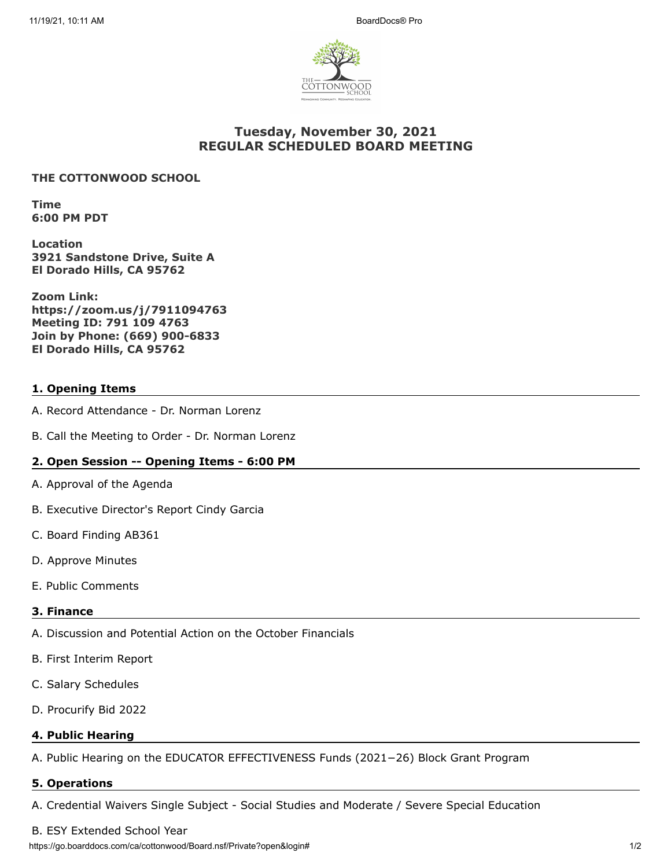

# **Tuesday, November 30, 2021 REGULAR SCHEDULED BOARD MEETING**

### **THE COTTONWOOD SCHOOL**

**Time 6:00 PM PDT**

**Location 3921 Sandstone Drive, Suite A El Dorado Hills, CA 95762**

**Zoom Link: https://zoom.us/j/7911094763 Meeting ID: 791 109 4763 Join by Phone: (669) 900-6833 El Dorado Hills, CA 95762**

## **1. Opening Items**

- A. Record Attendance Dr. Norman Lorenz
- B. Call the Meeting to Order Dr. Norman Lorenz

### **2. Open Session -- Opening Items - 6:00 PM**

- A. Approval of the Agenda
- B. Executive Director's Report Cindy Garcia
- C. Board Finding AB361
- D. Approve Minutes
- E. Public Comments

### **3. Finance**

- A. Discussion and Potential Action on the October Financials
- B. First Interim Report
- C. Salary Schedules
- D. Procurify Bid 2022

### **4. Public Hearing**

A. Public Hearing on the EDUCATOR EFFECTIVENESS Funds (2021−26) Block Grant Program

### **5. Operations**

A. Credential Waivers Single Subject - Social Studies and Moderate / Severe Special Education